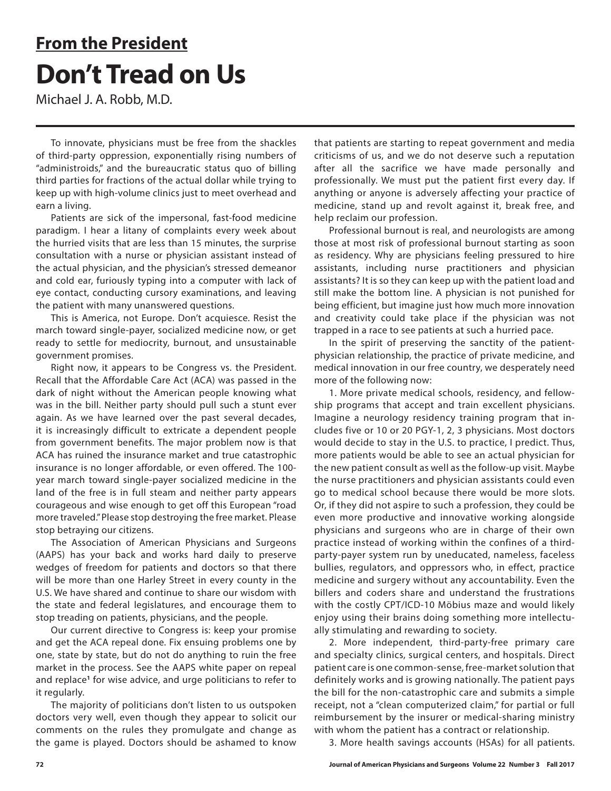# **From the President Don't Tread on Us**

Michael J. A. Robb, M.D.

To innovate, physicians must be free from the shackles of third-party oppression, exponentially rising numbers of "administroids," and the bureaucratic status quo of billing third parties for fractions of the actual dollar while trying to keep up with high-volume clinics just to meet overhead and earn a living.

Patients are sick of the impersonal, fast-food medicine paradigm. I hear a litany of complaints every week about the hurried visits that are less than 15 minutes, the surprise consultation with a nurse or physician assistant instead of the actual physician, and the physician's stressed demeanor and cold ear, furiously typing into a computer with lack of eye contact, conducting cursory examinations, and leaving the patient with many unanswered questions.

This is America, not Europe. Don't acquiesce. Resist the march toward single-payer, socialized medicine now, or get ready to settle for mediocrity, burnout, and unsustainable government promises.

Right now, it appears to be Congress vs. the President. Recall that the Affordable Care Act (ACA) was passed in the dark of night without the American people knowing what was in the bill. Neither party should pull such a stunt ever again. As we have learned over the past several decades, it is increasingly difficult to extricate a dependent people from government benefits. The major problem now is that ACA has ruined the insurance market and true catastrophic insurance is no longer affordable, or even offered. The 100 year march toward single-payer socialized medicine in the land of the free is in full steam and neither party appears courageous and wise enough to get off this European "road more traveled." Please stop destroying the free market. Please stop betraying our citizens.

The Association of American Physicians and Surgeons (AAPS) has your back and works hard daily to preserve wedges of freedom for patients and doctors so that there will be more than one Harley Street in every county in the U.S. We have shared and continue to share our wisdom with the state and federal legislatures, and encourage them to stop treading on patients, physicians, and the people.

Our current directive to Congress is: keep your promise and get the ACA repeal done. Fix ensuing problems one by one, state by state, but do not do anything to ruin the free market in the process. See the AAPS white paper on repeal and replace**<sup>1</sup>** for wise advice, and urge politicians to refer to it regularly.

The majority of politicians don't listen to us outspoken doctors very well, even though they appear to solicit our comments on the rules they promulgate and change as the game is played. Doctors should be ashamed to know

that patients are starting to repeat government and media criticisms of us, and we do not deserve such a reputation after all the sacrifice we have made personally and professionally. We must put the patient first every day. If anything or anyone is adversely affecting your practice of medicine, stand up and revolt against it, break free, and help reclaim our profession.

Professional burnout is real, and neurologists are among those at most risk of professional burnout starting as soon as residency. Why are physicians feeling pressured to hire assistants, including nurse practitioners and physician assistants? It is so they can keep up with the patient load and still make the bottom line. A physician is not punished for being efficient, but imagine just how much more innovation and creativity could take place if the physician was not trapped in a race to see patients at such a hurried pace.

In the spirit of preserving the sanctity of the patientphysician relationship, the practice of private medicine, and medical innovation in our free country, we desperately need more of the following now:

1. More private medical schools, residency, and fellowship programs that accept and train excellent physicians. Imagine a neurology residency training program that includes five or 10 or 20 PGY-1, 2, 3 physicians. Most doctors would decide to stay in the U.S. to practice, I predict. Thus, more patients would be able to see an actual physician for the new patient consult as well as the follow-up visit. Maybe the nurse practitioners and physician assistants could even go to medical school because there would be more slots. Or, if they did not aspire to such a profession, they could be even more productive and innovative working alongside physicians and surgeons who are in charge of their own practice instead of working within the confines of a thirdparty-payer system run by uneducated, nameless, faceless bullies, regulators, and oppressors who, in effect, practice medicine and surgery without any accountability. Even the billers and coders share and understand the frustrations with the costly CPT/ICD-10 Möbius maze and would likely enjoy using their brains doing something more intellectually stimulating and rewarding to society.

2. More independent, third-party-free primary care and specialty clinics, surgical centers, and hospitals. Direct patient care is one common-sense, free-market solution that definitely works and is growing nationally. The patient pays the bill for the non-catastrophic care and submits a simple receipt, not a "clean computerized claim," for partial or full reimbursement by the insurer or medical-sharing ministry with whom the patient has a contract or relationship.

3. More health savings accounts (HSAs) for all patients.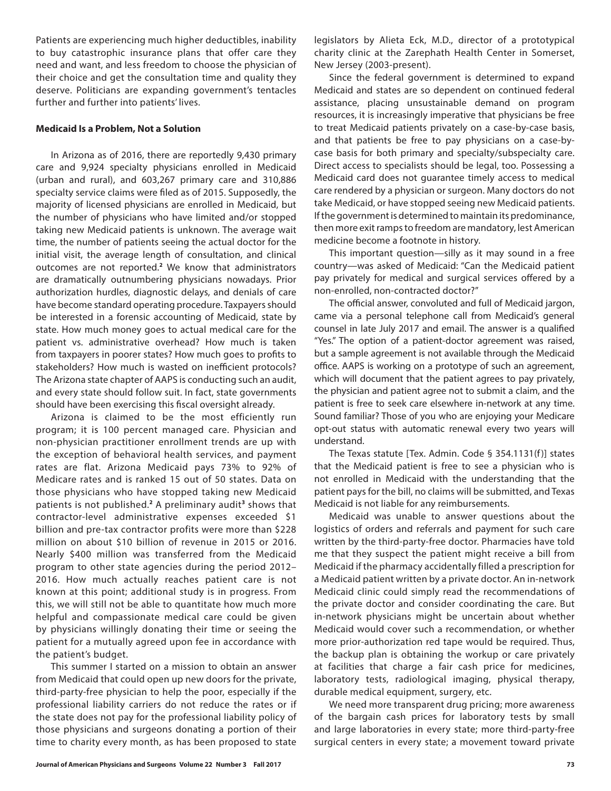Patients are experiencing much higher deductibles, inability to buy catastrophic insurance plans that offer care they need and want, and less freedom to choose the physician of their choice and get the consultation time and quality they deserve. Politicians are expanding government's tentacles further and further into patients' lives.

#### **Medicaid Is a Problem, Not a Solution**

In Arizona as of 2016, there are reportedly 9,430 primary care and 9,924 specialty physicians enrolled in Medicaid (urban and rural), and 603,267 primary care and 310,886 specialty service claims were filed as of 2015. Supposedly, the majority of licensed physicians are enrolled in Medicaid, but the number of physicians who have limited and/or stopped taking new Medicaid patients is unknown. The average wait time, the number of patients seeing the actual doctor for the initial visit, the average length of consultation, and clinical outcomes are not reported.**<sup>2</sup>** We know that administrators are dramatically outnumbering physicians nowadays. Prior authorization hurdles, diagnostic delays, and denials of care have become standard operating procedure. Taxpayers should be interested in a forensic accounting of Medicaid, state by state. How much money goes to actual medical care for the patient vs. administrative overhead? How much is taken from taxpayers in poorer states? How much goes to profits to stakeholders? How much is wasted on inefficient protocols? The Arizona state chapter of AAPS is conducting such an audit, and every state should follow suit. In fact, state governments should have been exercising this fiscal oversight already.

Arizona is claimed to be the most efficiently run program; it is 100 percent managed care. Physician and non-physician practitioner enrollment trends are up with the exception of behavioral health services, and payment rates are flat. Arizona Medicaid pays 73% to 92% of Medicare rates and is ranked 15 out of 50 states. Data on those physicians who have stopped taking new Medicaid patients is not published.**<sup>2</sup>** A preliminary audit**<sup>3</sup>** shows that contractor-level administrative expenses exceeded \$1 billion and pre-tax contractor profits were more than \$228 million on about \$10 billion of revenue in 2015 or 2016. Nearly \$400 million was transferred from the Medicaid program to other state agencies during the period 2012– 2016. How much actually reaches patient care is not known at this point; additional study is in progress. From this, we will still not be able to quantitate how much more helpful and compassionate medical care could be given by physicians willingly donating their time or seeing the patient for a mutually agreed upon fee in accordance with the patient's budget.

This summer I started on a mission to obtain an answer from Medicaid that could open up new doors for the private, third-party-free physician to help the poor, especially if the professional liability carriers do not reduce the rates or if the state does not pay for the professional liability policy of those physicians and surgeons donating a portion of their time to charity every month, as has been proposed to state

legislators by Alieta Eck, M.D., director of a prototypical charity clinic at the Zarephath Health Center in Somerset, New Jersey (2003-present).

Since the federal government is determined to expand Medicaid and states are so dependent on continued federal assistance, placing unsustainable demand on program resources, it is increasingly imperative that physicians be free to treat Medicaid patients privately on a case-by-case basis, and that patients be free to pay physicians on a case-bycase basis for both primary and specialty/subspecialty care. Direct access to specialists should be legal, too. Possessing a Medicaid card does not guarantee timely access to medical care rendered by a physician or surgeon. Many doctors do not take Medicaid, or have stopped seeing new Medicaid patients. If the government is determined to maintain its predominance, then more exit ramps to freedom are mandatory, lest American medicine become a footnote in history.

This important question—silly as it may sound in a free country—was asked of Medicaid: "Can the Medicaid patient pay privately for medical and surgical services offered by a non-enrolled, non-contracted doctor?"

The official answer, convoluted and full of Medicaid jargon, came via a personal telephone call from Medicaid's general counsel in late July 2017 and email. The answer is a qualified "Yes." The option of a patient-doctor agreement was raised, but a sample agreement is not available through the Medicaid office. AAPS is working on a prototype of such an agreement, which will document that the patient agrees to pay privately, the physician and patient agree not to submit a claim, and the patient is free to seek care elsewhere in-network at any time. Sound familiar? Those of you who are enjoying your Medicare opt-out status with automatic renewal every two years will understand.

The Texas statute [Tex. Admin. Code § 354.1131(f )] states that the Medicaid patient is free to see a physician who is not enrolled in Medicaid with the understanding that the patient pays for the bill, no claims will be submitted, and Texas Medicaid is not liable for any reimbursements.

Medicaid was unable to answer questions about the logistics of orders and referrals and payment for such care written by the third-party-free doctor. Pharmacies have told me that they suspect the patient might receive a bill from Medicaid if the pharmacy accidentally filled a prescription for a Medicaid patient written by a private doctor. An in-network Medicaid clinic could simply read the recommendations of the private doctor and consider coordinating the care. But in-network physicians might be uncertain about whether Medicaid would cover such a recommendation, or whether more prior-authorization red tape would be required. Thus, the backup plan is obtaining the workup or care privately at facilities that charge a fair cash price for medicines, laboratory tests, radiological imaging, physical therapy, durable medical equipment, surgery, etc.

We need more transparent drug pricing; more awareness of the bargain cash prices for laboratory tests by small and large laboratories in every state; more third-party-free surgical centers in every state; a movement toward private